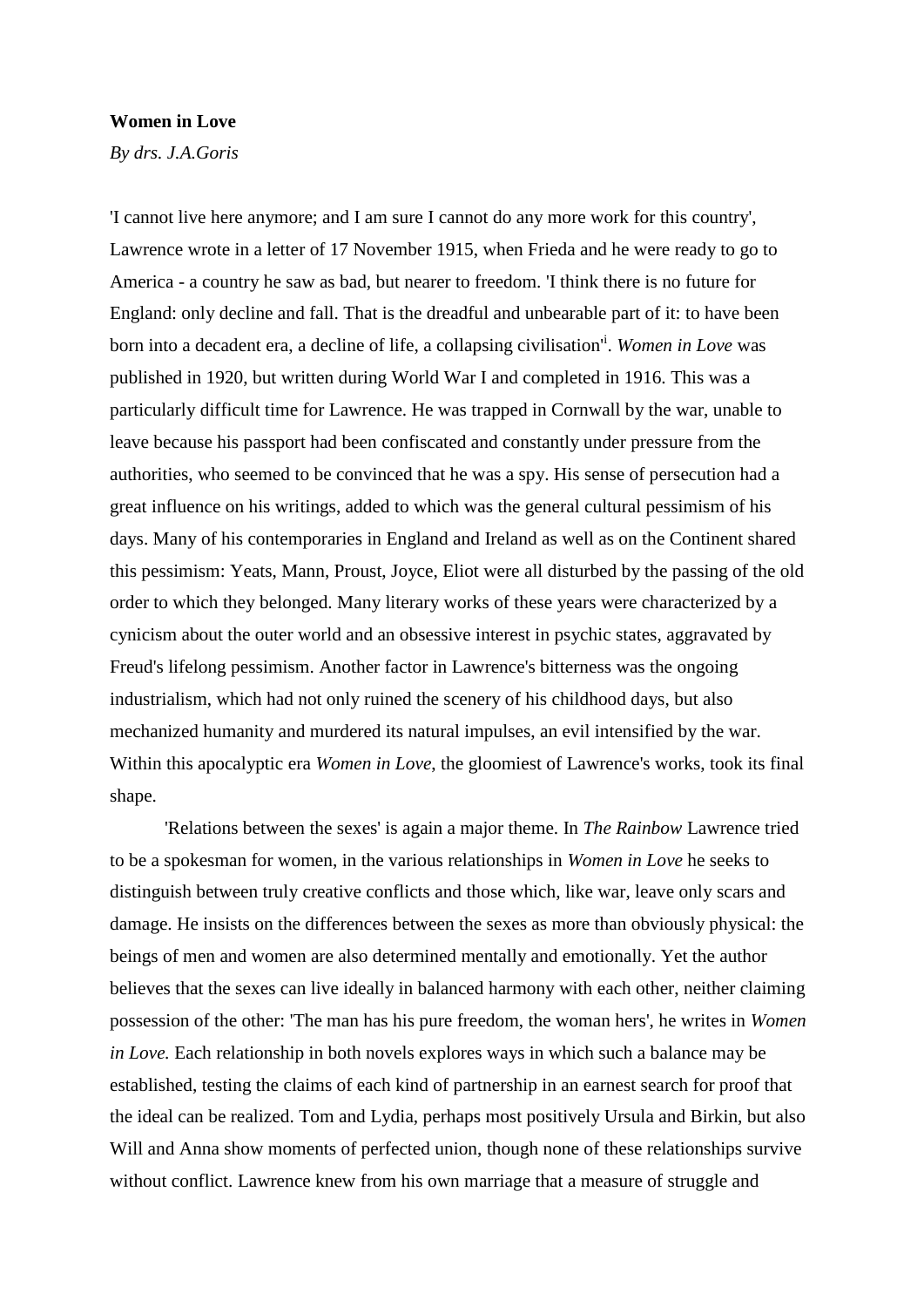## **Women in Love**

*By drs. J.A.Goris*

'I cannot live here anymore; and I am sure I cannot do any more work for this country', Lawrence wrote in a letter of 17 November 1915, when Frieda and he were ready to go to America - a country he saw as bad, but nearer to freedom. 'I think there is no future for England: only decline and fall. That is the dreadful and unbearable part of it: to have been born into a decadent era, a decline of life, a collapsing civilisation'<sup>i</sup> . *Women in Love* was published in 1920, but written during World War I and completed in 1916. This was a particularly difficult time for Lawrence. He was trapped in Cornwall by the war, unable to leave because his passport had been confiscated and constantly under pressure from the authorities, who seemed to be convinced that he was a spy. His sense of persecution had a great influence on his writings, added to which was the general cultural pessimism of his days. Many of his contemporaries in England and Ireland as well as on the Continent shared this pessimism: Yeats, Mann, Proust, Joyce, Eliot were all disturbed by the passing of the old order to which they belonged. Many literary works of these years were characterized by a cynicism about the outer world and an obsessive interest in psychic states, aggravated by Freud's lifelong pessimism. Another factor in Lawrence's bitterness was the ongoing industrialism, which had not only ruined the scenery of his childhood days, but also mechanized humanity and murdered its natural impulses, an evil intensified by the war. Within this apocalyptic era *Women in Love*, the gloomiest of Lawrence's works, took its final shape.

'Relations between the sexes' is again a major theme. In *The Rainbow* Lawrence tried to be a spokesman for women, in the various relationships in *Women in Love* he seeks to distinguish between truly creative conflicts and those which, like war, leave only scars and damage. He insists on the differences between the sexes as more than obviously physical: the beings of men and women are also determined mentally and emotionally. Yet the author believes that the sexes can live ideally in balanced harmony with each other, neither claiming possession of the other: 'The man has his pure freedom, the woman hers', he writes in *Women in Love.* Each relationship in both novels explores ways in which such a balance may be established, testing the claims of each kind of partnership in an earnest search for proof that the ideal can be realized. Tom and Lydia, perhaps most positively Ursula and Birkin, but also Will and Anna show moments of perfected union, though none of these relationships survive without conflict. Lawrence knew from his own marriage that a measure of struggle and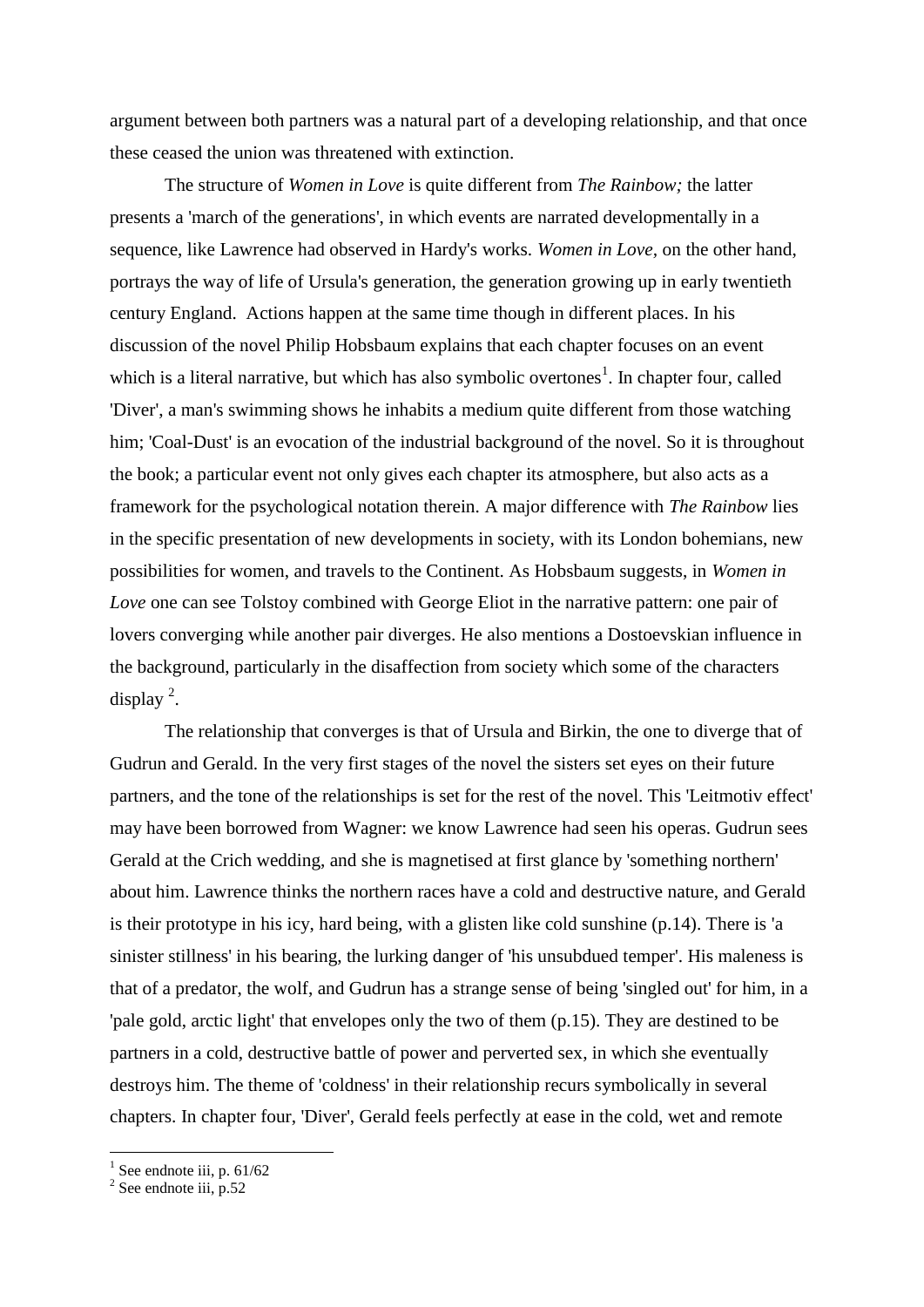argument between both partners was a natural part of a developing relationship, and that once these ceased the union was threatened with extinction.

The structure of *Women in Love* is quite different from *The Rainbow;* the latter presents a 'march of the generations', in which events are narrated developmentally in a sequence, like Lawrence had observed in Hardy's works. *Women in Love,* on the other hand, portrays the way of life of Ursula's generation, the generation growing up in early twentieth century England. Actions happen at the same time though in different places. In his discussion of the novel Philip Hobsbaum explains that each chapter focuses on an event which is a literal narrative, but which has also symbolic overtones<sup>1</sup>. In chapter four, called 'Diver', a man's swimming shows he inhabits a medium quite different from those watching him; 'Coal-Dust' is an evocation of the industrial background of the novel. So it is throughout the book; a particular event not only gives each chapter its atmosphere, but also acts as a framework for the psychological notation therein. A major difference with *The Rainbow* lies in the specific presentation of new developments in society, with its London bohemians, new possibilities for women, and travels to the Continent. As Hobsbaum suggests, in *Women in Love* one can see Tolstoy combined with George Eliot in the narrative pattern: one pair of lovers converging while another pair diverges. He also mentions a Dostoevskian influence in the background, particularly in the disaffection from society which some of the characters display<sup>2</sup>.

The relationship that converges is that of Ursula and Birkin, the one to diverge that of Gudrun and Gerald. In the very first stages of the novel the sisters set eyes on their future partners, and the tone of the relationships is set for the rest of the novel. This 'Leitmotiv effect' may have been borrowed from Wagner: we know Lawrence had seen his operas. Gudrun sees Gerald at the Crich wedding, and she is magnetised at first glance by 'something northern' about him. Lawrence thinks the northern races have a cold and destructive nature, and Gerald is their prototype in his icy, hard being, with a glisten like cold sunshine (p.14). There is 'a sinister stillness' in his bearing, the lurking danger of 'his unsubdued temper'. His maleness is that of a predator, the wolf, and Gudrun has a strange sense of being 'singled out' for him, in a 'pale gold, arctic light' that envelopes only the two of them (p.15). They are destined to be partners in a cold, destructive battle of power and perverted sex, in which she eventually destroys him. The theme of 'coldness' in their relationship recurs symbolically in several chapters. In chapter four, 'Diver', Gerald feels perfectly at ease in the cold, wet and remote

<u>.</u>

 $<sup>1</sup>$  See endnote iii, p. 61/62</sup>

 $2$  See endnote iii, p.52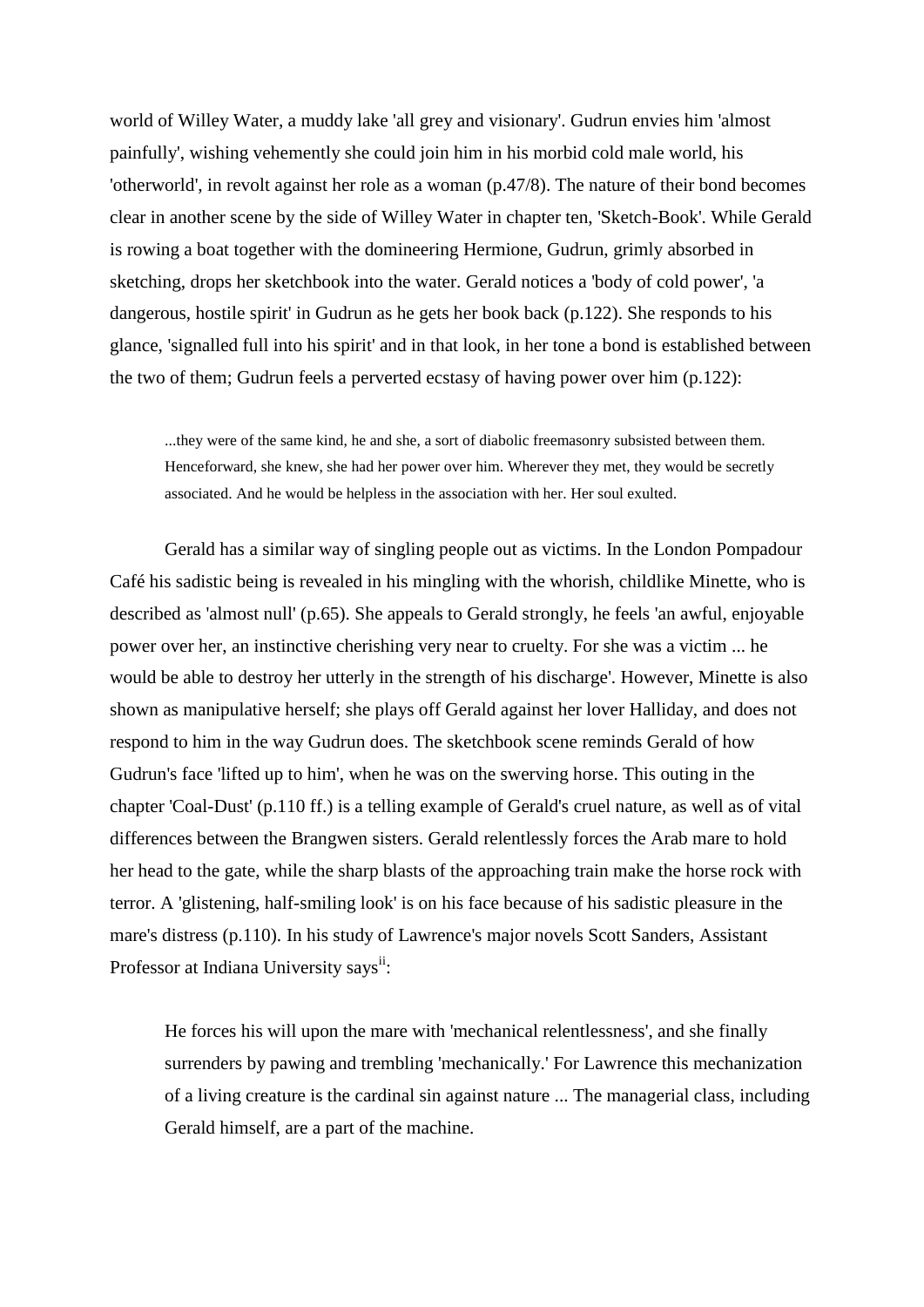world of Willey Water, a muddy lake 'all grey and visionary'. Gudrun envies him 'almost painfully', wishing vehemently she could join him in his morbid cold male world, his 'otherworld', in revolt against her role as a woman (p.47/8). The nature of their bond becomes clear in another scene by the side of Willey Water in chapter ten, 'Sketch-Book'. While Gerald is rowing a boat together with the domineering Hermione, Gudrun, grimly absorbed in sketching, drops her sketchbook into the water. Gerald notices a 'body of cold power', 'a dangerous, hostile spirit' in Gudrun as he gets her book back (p.122). She responds to his glance, 'signalled full into his spirit' and in that look, in her tone a bond is established between the two of them; Gudrun feels a perverted ecstasy of having power over him (p.122):

...they were of the same kind, he and she, a sort of diabolic freemasonry subsisted between them. Henceforward, she knew, she had her power over him. Wherever they met, they would be secretly associated. And he would be helpless in the association with her. Her soul exulted.

Gerald has a similar way of singling people out as victims. In the London Pompadour Café his sadistic being is revealed in his mingling with the whorish, childlike Minette, who is described as 'almost null' (p.65). She appeals to Gerald strongly, he feels 'an awful, enjoyable power over her, an instinctive cherishing very near to cruelty. For she was a victim ... he would be able to destroy her utterly in the strength of his discharge'. However, Minette is also shown as manipulative herself; she plays off Gerald against her lover Halliday, and does not respond to him in the way Gudrun does. The sketchbook scene reminds Gerald of how Gudrun's face 'lifted up to him', when he was on the swerving horse. This outing in the chapter 'Coal-Dust' (p.110 ff.) is a telling example of Gerald's cruel nature, as well as of vital differences between the Brangwen sisters. Gerald relentlessly forces the Arab mare to hold her head to the gate, while the sharp blasts of the approaching train make the horse rock with terror. A 'glistening, half-smiling look' is on his face because of his sadistic pleasure in the mare's distress (p.110). In his study of Lawrence's major novels Scott Sanders, Assistant Professor at Indiana University says<sup>ii</sup>:

He forces his will upon the mare with 'mechanical relentlessness', and she finally surrenders by pawing and trembling 'mechanically.' For Lawrence this mechanization of a living creature is the cardinal sin against nature ... The managerial class, including Gerald himself, are a part of the machine.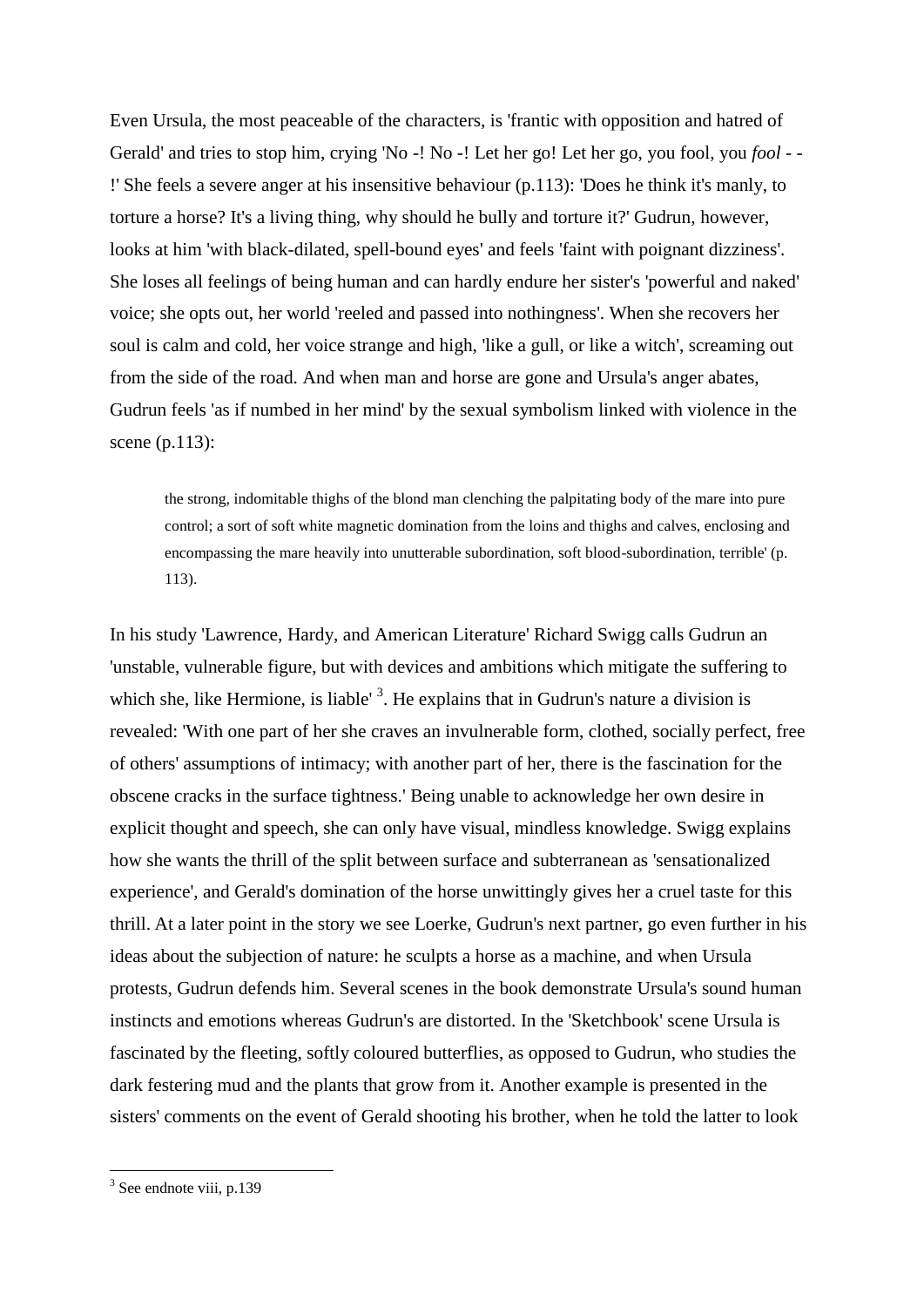Even Ursula, the most peaceable of the characters, is 'frantic with opposition and hatred of Gerald' and tries to stop him, crying 'No -! No -! Let her go! Let her go, you fool, you *fool* - - !' She feels a severe anger at his insensitive behaviour (p.113): 'Does he think it's manly, to torture a horse? It's a living thing, why should he bully and torture it?' Gudrun, however, looks at him 'with black-dilated, spell-bound eyes' and feels 'faint with poignant dizziness'. She loses all feelings of being human and can hardly endure her sister's 'powerful and naked' voice; she opts out, her world 'reeled and passed into nothingness'. When she recovers her soul is calm and cold, her voice strange and high, 'like a gull, or like a witch', screaming out from the side of the road. And when man and horse are gone and Ursula's anger abates, Gudrun feels 'as if numbed in her mind' by the sexual symbolism linked with violence in the scene (p.113):

the strong, indomitable thighs of the blond man clenching the palpitating body of the mare into pure control; a sort of soft white magnetic domination from the loins and thighs and calves, enclosing and encompassing the mare heavily into unutterable subordination, soft blood-subordination, terrible' (p. 113).

In his study 'Lawrence, Hardy, and American Literature' Richard Swigg calls Gudrun an 'unstable, vulnerable figure, but with devices and ambitions which mitigate the suffering to which she, like Hermione, is liable  $3$ . He explains that in Gudrun's nature a division is revealed: 'With one part of her she craves an invulnerable form, clothed, socially perfect, free of others' assumptions of intimacy; with another part of her, there is the fascination for the obscene cracks in the surface tightness.' Being unable to acknowledge her own desire in explicit thought and speech, she can only have visual, mindless knowledge. Swigg explains how she wants the thrill of the split between surface and subterranean as 'sensationalized experience', and Gerald's domination of the horse unwittingly gives her a cruel taste for this thrill. At a later point in the story we see Loerke, Gudrun's next partner, go even further in his ideas about the subjection of nature: he sculpts a horse as a machine, and when Ursula protests, Gudrun defends him. Several scenes in the book demonstrate Ursula's sound human instincts and emotions whereas Gudrun's are distorted. In the 'Sketchbook' scene Ursula is fascinated by the fleeting, softly coloured butterflies, as opposed to Gudrun, who studies the dark festering mud and the plants that grow from it. Another example is presented in the sisters' comments on the event of Gerald shooting his brother, when he told the latter to look

 $3$  See endnote viii, p.139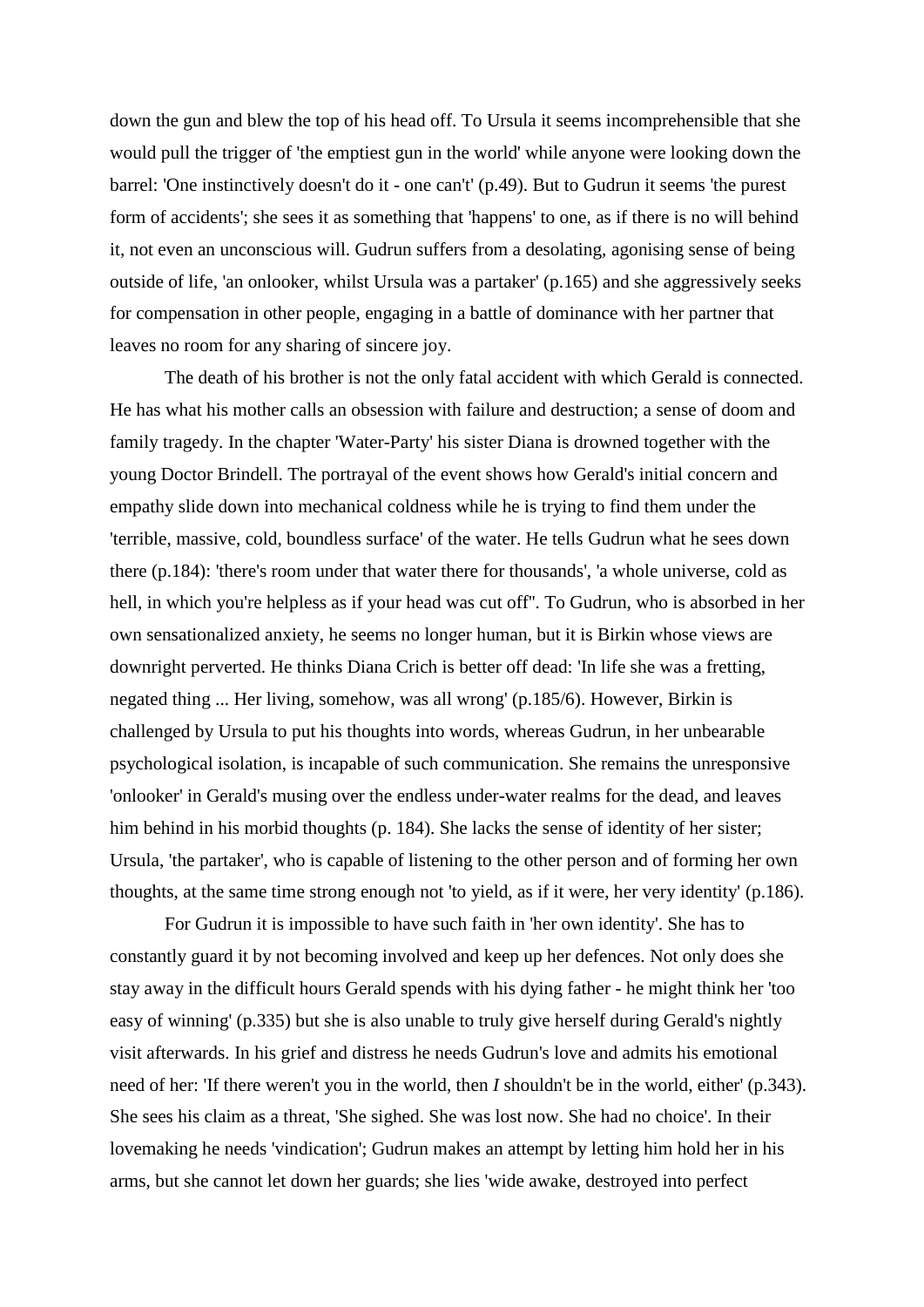down the gun and blew the top of his head off. To Ursula it seems incomprehensible that she would pull the trigger of 'the emptiest gun in the world' while anyone were looking down the barrel: 'One instinctively doesn't do it - one can't' (p.49). But to Gudrun it seems 'the purest form of accidents'; she sees it as something that 'happens' to one, as if there is no will behind it, not even an unconscious will. Gudrun suffers from a desolating, agonising sense of being outside of life, 'an onlooker, whilst Ursula was a partaker' (p.165) and she aggressively seeks for compensation in other people, engaging in a battle of dominance with her partner that leaves no room for any sharing of sincere joy.

The death of his brother is not the only fatal accident with which Gerald is connected. He has what his mother calls an obsession with failure and destruction; a sense of doom and family tragedy. In the chapter 'Water-Party' his sister Diana is drowned together with the young Doctor Brindell. The portrayal of the event shows how Gerald's initial concern and empathy slide down into mechanical coldness while he is trying to find them under the 'terrible, massive, cold, boundless surface' of the water. He tells Gudrun what he sees down there (p.184): 'there's room under that water there for thousands', 'a whole universe, cold as hell, in which you're helpless as if your head was cut off''. To Gudrun, who is absorbed in her own sensationalized anxiety, he seems no longer human, but it is Birkin whose views are downright perverted. He thinks Diana Crich is better off dead: 'In life she was a fretting, negated thing ... Her living, somehow, was all wrong' (p.185/6). However, Birkin is challenged by Ursula to put his thoughts into words, whereas Gudrun, in her unbearable psychological isolation, is incapable of such communication. She remains the unresponsive 'onlooker' in Gerald's musing over the endless under-water realms for the dead, and leaves him behind in his morbid thoughts (p. 184). She lacks the sense of identity of her sister; Ursula, 'the partaker', who is capable of listening to the other person and of forming her own thoughts, at the same time strong enough not 'to yield, as if it were, her very identity' (p.186).

For Gudrun it is impossible to have such faith in 'her own identity'. She has to constantly guard it by not becoming involved and keep up her defences. Not only does she stay away in the difficult hours Gerald spends with his dying father - he might think her 'too easy of winning' (p.335) but she is also unable to truly give herself during Gerald's nightly visit afterwards. In his grief and distress he needs Gudrun's love and admits his emotional need of her: 'If there weren't you in the world, then *I* shouldn't be in the world, either' (p.343). She sees his claim as a threat, 'She sighed. She was lost now. She had no choice'. In their lovemaking he needs 'vindication'; Gudrun makes an attempt by letting him hold her in his arms, but she cannot let down her guards; she lies 'wide awake, destroyed into perfect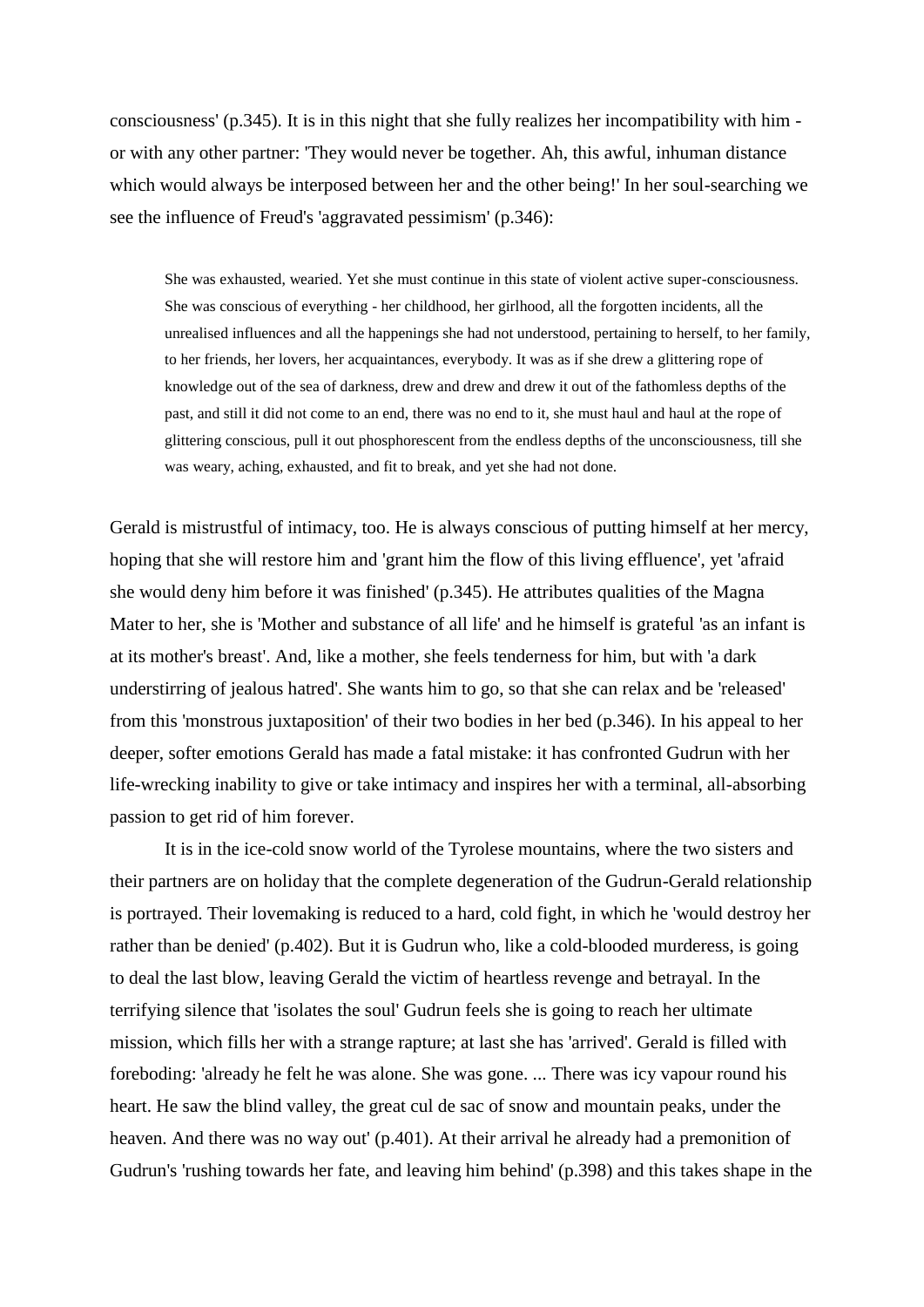consciousness' (p.345). It is in this night that she fully realizes her incompatibility with him or with any other partner: 'They would never be together. Ah, this awful, inhuman distance which would always be interposed between her and the other being!' In her soul-searching we see the influence of Freud's 'aggravated pessimism' (p.346):

She was exhausted, wearied. Yet she must continue in this state of violent active super-consciousness. She was conscious of everything - her childhood, her girlhood, all the forgotten incidents, all the unrealised influences and all the happenings she had not understood, pertaining to herself, to her family, to her friends, her lovers, her acquaintances, everybody. It was as if she drew a glittering rope of knowledge out of the sea of darkness, drew and drew and drew it out of the fathomless depths of the past, and still it did not come to an end, there was no end to it, she must haul and haul at the rope of glittering conscious, pull it out phosphorescent from the endless depths of the unconsciousness, till she was weary, aching, exhausted, and fit to break, and yet she had not done.

Gerald is mistrustful of intimacy, too. He is always conscious of putting himself at her mercy, hoping that she will restore him and 'grant him the flow of this living effluence', yet 'afraid she would deny him before it was finished' (p.345). He attributes qualities of the Magna Mater to her, she is 'Mother and substance of all life' and he himself is grateful 'as an infant is at its mother's breast'. And, like a mother, she feels tenderness for him, but with 'a dark understirring of jealous hatred'. She wants him to go, so that she can relax and be 'released' from this 'monstrous juxtaposition' of their two bodies in her bed (p.346). In his appeal to her deeper, softer emotions Gerald has made a fatal mistake: it has confronted Gudrun with her life-wrecking inability to give or take intimacy and inspires her with a terminal, all-absorbing passion to get rid of him forever.

It is in the ice-cold snow world of the Tyrolese mountains, where the two sisters and their partners are on holiday that the complete degeneration of the Gudrun-Gerald relationship is portrayed. Their lovemaking is reduced to a hard, cold fight, in which he 'would destroy her rather than be denied' (p.402). But it is Gudrun who, like a cold-blooded murderess, is going to deal the last blow, leaving Gerald the victim of heartless revenge and betrayal. In the terrifying silence that 'isolates the soul' Gudrun feels she is going to reach her ultimate mission, which fills her with a strange rapture; at last she has 'arrived'. Gerald is filled with foreboding: 'already he felt he was alone. She was gone. ... There was icy vapour round his heart. He saw the blind valley, the great cul de sac of snow and mountain peaks, under the heaven. And there was no way out' (p.401). At their arrival he already had a premonition of Gudrun's 'rushing towards her fate, and leaving him behind' (p.398) and this takes shape in the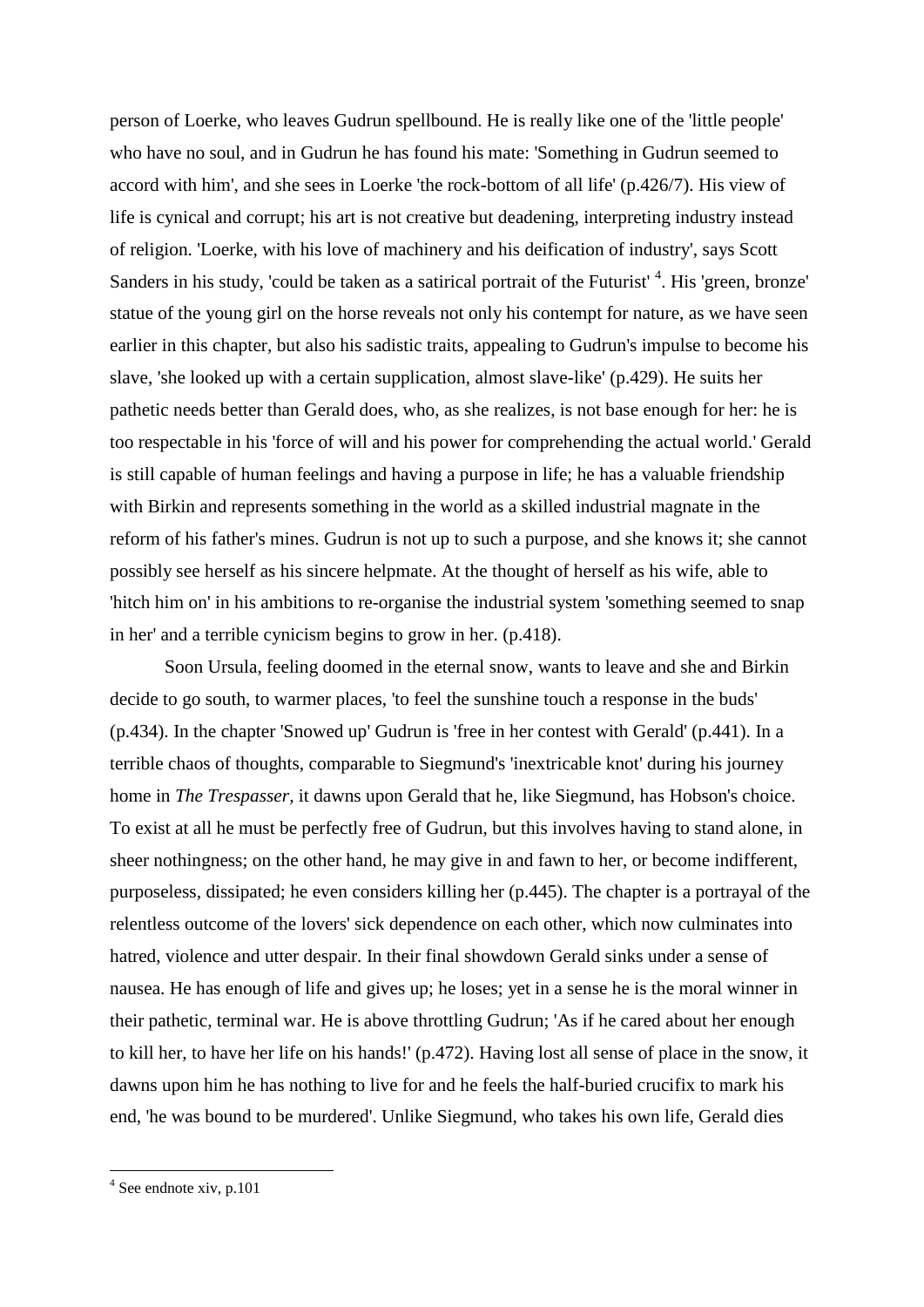person of Loerke, who leaves Gudrun spellbound. He is really like one of the 'little people' who have no soul, and in Gudrun he has found his mate: 'Something in Gudrun seemed to accord with him', and she sees in Loerke 'the rock-bottom of all life' (p.426/7). His view of life is cynical and corrupt; his art is not creative but deadening, interpreting industry instead of religion. 'Loerke, with his love of machinery and his deification of industry', says Scott Sanders in his study, 'could be taken as a satirical portrait of the Futurist'<sup>4</sup>. His 'green, bronze' statue of the young girl on the horse reveals not only his contempt for nature, as we have seen earlier in this chapter, but also his sadistic traits, appealing to Gudrun's impulse to become his slave, 'she looked up with a certain supplication, almost slave-like' (p.429). He suits her pathetic needs better than Gerald does, who, as she realizes, is not base enough for her: he is too respectable in his 'force of will and his power for comprehending the actual world.' Gerald is still capable of human feelings and having a purpose in life; he has a valuable friendship with Birkin and represents something in the world as a skilled industrial magnate in the reform of his father's mines. Gudrun is not up to such a purpose, and she knows it; she cannot possibly see herself as his sincere helpmate. At the thought of herself as his wife, able to 'hitch him on' in his ambitions to re-organise the industrial system 'something seemed to snap in her' and a terrible cynicism begins to grow in her. (p.418).

Soon Ursula, feeling doomed in the eternal snow, wants to leave and she and Birkin decide to go south, to warmer places, 'to feel the sunshine touch a response in the buds' (p.434). In the chapter 'Snowed up' Gudrun is 'free in her contest with Gerald' (p.441). In a terrible chaos of thoughts, comparable to Siegmund's 'inextricable knot' during his journey home in *The Trespasser*, it dawns upon Gerald that he, like Siegmund, has Hobson's choice. To exist at all he must be perfectly free of Gudrun, but this involves having to stand alone, in sheer nothingness; on the other hand, he may give in and fawn to her, or become indifferent, purposeless, dissipated; he even considers killing her (p.445). The chapter is a portrayal of the relentless outcome of the lovers' sick dependence on each other, which now culminates into hatred, violence and utter despair. In their final showdown Gerald sinks under a sense of nausea. He has enough of life and gives up; he loses; yet in a sense he is the moral winner in their pathetic, terminal war. He is above throttling Gudrun; 'As if he cared about her enough to kill her, to have her life on his hands!' (p.472). Having lost all sense of place in the snow, it dawns upon him he has nothing to live for and he feels the half-buried crucifix to mark his end, 'he was bound to be murdered'. Unlike Siegmund, who takes his own life, Gerald dies

<sup>4</sup> See endnote xiv, p.101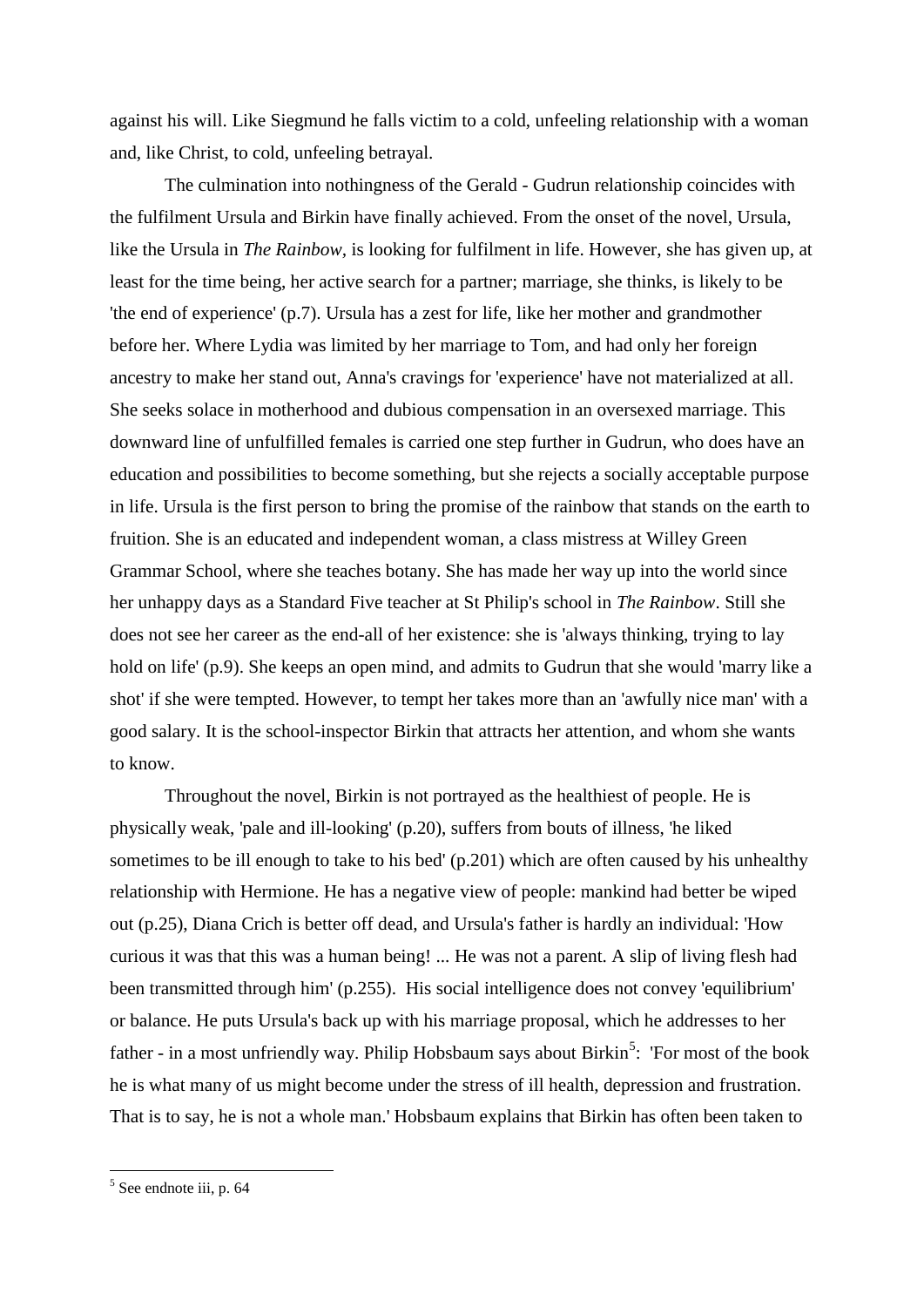against his will. Like Siegmund he falls victim to a cold, unfeeling relationship with a woman and, like Christ, to cold, unfeeling betrayal.

The culmination into nothingness of the Gerald - Gudrun relationship coincides with the fulfilment Ursula and Birkin have finally achieved. From the onset of the novel, Ursula, like the Ursula in *The Rainbow,* is looking for fulfilment in life. However, she has given up, at least for the time being, her active search for a partner; marriage, she thinks, is likely to be 'the end of experience' (p.7). Ursula has a zest for life, like her mother and grandmother before her. Where Lydia was limited by her marriage to Tom, and had only her foreign ancestry to make her stand out, Anna's cravings for 'experience' have not materialized at all. She seeks solace in motherhood and dubious compensation in an oversexed marriage. This downward line of unfulfilled females is carried one step further in Gudrun, who does have an education and possibilities to become something, but she rejects a socially acceptable purpose in life. Ursula is the first person to bring the promise of the rainbow that stands on the earth to fruition. She is an educated and independent woman, a class mistress at Willey Green Grammar School, where she teaches botany. She has made her way up into the world since her unhappy days as a Standard Five teacher at St Philip's school in *The Rainbow*. Still she does not see her career as the end-all of her existence: she is 'always thinking, trying to lay hold on life' (p.9). She keeps an open mind, and admits to Gudrun that she would 'marry like a shot' if she were tempted. However, to tempt her takes more than an 'awfully nice man' with a good salary. It is the school-inspector Birkin that attracts her attention, and whom she wants to know.

Throughout the novel, Birkin is not portrayed as the healthiest of people. He is physically weak, 'pale and ill-looking' (p.20), suffers from bouts of illness, 'he liked sometimes to be ill enough to take to his bed' (p.201) which are often caused by his unhealthy relationship with Hermione. He has a negative view of people: mankind had better be wiped out (p.25), Diana Crich is better off dead, and Ursula's father is hardly an individual: 'How curious it was that this was a human being! ... He was not a parent. A slip of living flesh had been transmitted through him' (p.255). His social intelligence does not convey 'equilibrium' or balance. He puts Ursula's back up with his marriage proposal, which he addresses to her father - in a most unfriendly way. Philip Hobsbaum says about Birkin<sup>5</sup>: 'For most of the book he is what many of us might become under the stress of ill health, depression and frustration. That is to say, he is not a whole man.' Hobsbaum explains that Birkin has often been taken to

 $\frac{5}{5}$  See endnote iii, p. 64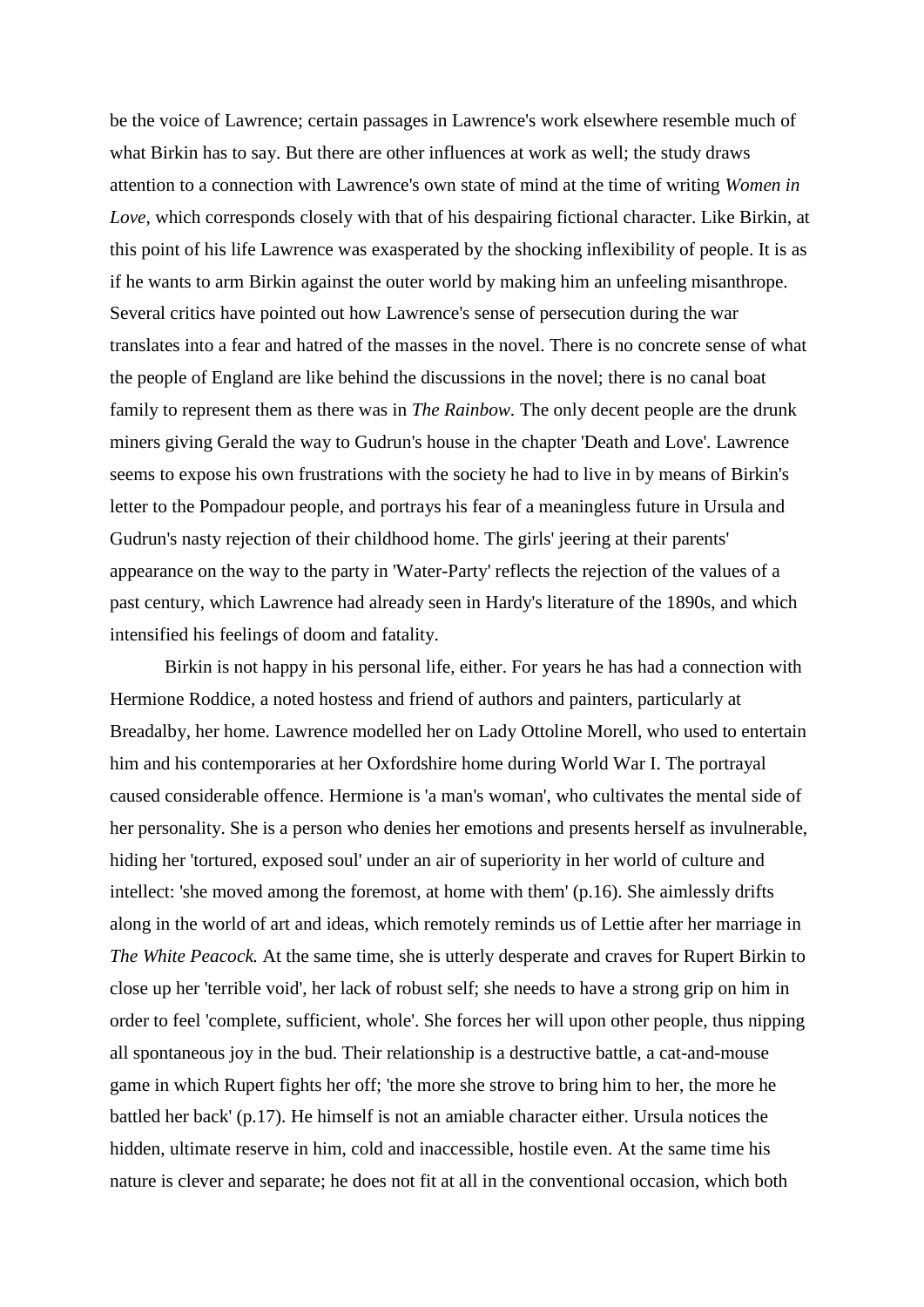be the voice of Lawrence; certain passages in Lawrence's work elsewhere resemble much of what Birkin has to say. But there are other influences at work as well; the study draws attention to a connection with Lawrence's own state of mind at the time of writing *Women in Love*, which corresponds closely with that of his despairing fictional character. Like Birkin, at this point of his life Lawrence was exasperated by the shocking inflexibility of people. It is as if he wants to arm Birkin against the outer world by making him an unfeeling misanthrope. Several critics have pointed out how Lawrence's sense of persecution during the war translates into a fear and hatred of the masses in the novel. There is no concrete sense of what the people of England are like behind the discussions in the novel; there is no canal boat family to represent them as there was in *The Rainbow.* The only decent people are the drunk miners giving Gerald the way to Gudrun's house in the chapter 'Death and Love'. Lawrence seems to expose his own frustrations with the society he had to live in by means of Birkin's letter to the Pompadour people, and portrays his fear of a meaningless future in Ursula and Gudrun's nasty rejection of their childhood home. The girls' jeering at their parents' appearance on the way to the party in 'Water-Party' reflects the rejection of the values of a past century, which Lawrence had already seen in Hardy's literature of the 1890s, and which intensified his feelings of doom and fatality.

Birkin is not happy in his personal life, either. For years he has had a connection with Hermione Roddice, a noted hostess and friend of authors and painters, particularly at Breadalby, her home. Lawrence modelled her on Lady Ottoline Morell, who used to entertain him and his contemporaries at her Oxfordshire home during World War I. The portrayal caused considerable offence. Hermione is 'a man's woman', who cultivates the mental side of her personality. She is a person who denies her emotions and presents herself as invulnerable, hiding her 'tortured, exposed soul' under an air of superiority in her world of culture and intellect: 'she moved among the foremost, at home with them' (p.16). She aimlessly drifts along in the world of art and ideas, which remotely reminds us of Lettie after her marriage in *The White Peacock.* At the same time, she is utterly desperate and craves for Rupert Birkin to close up her 'terrible void', her lack of robust self; she needs to have a strong grip on him in order to feel 'complete, sufficient, whole'. She forces her will upon other people, thus nipping all spontaneous joy in the bud. Their relationship is a destructive battle, a cat-and-mouse game in which Rupert fights her off; 'the more she strove to bring him to her, the more he battled her back' (p.17). He himself is not an amiable character either. Ursula notices the hidden, ultimate reserve in him, cold and inaccessible, hostile even. At the same time his nature is clever and separate; he does not fit at all in the conventional occasion, which both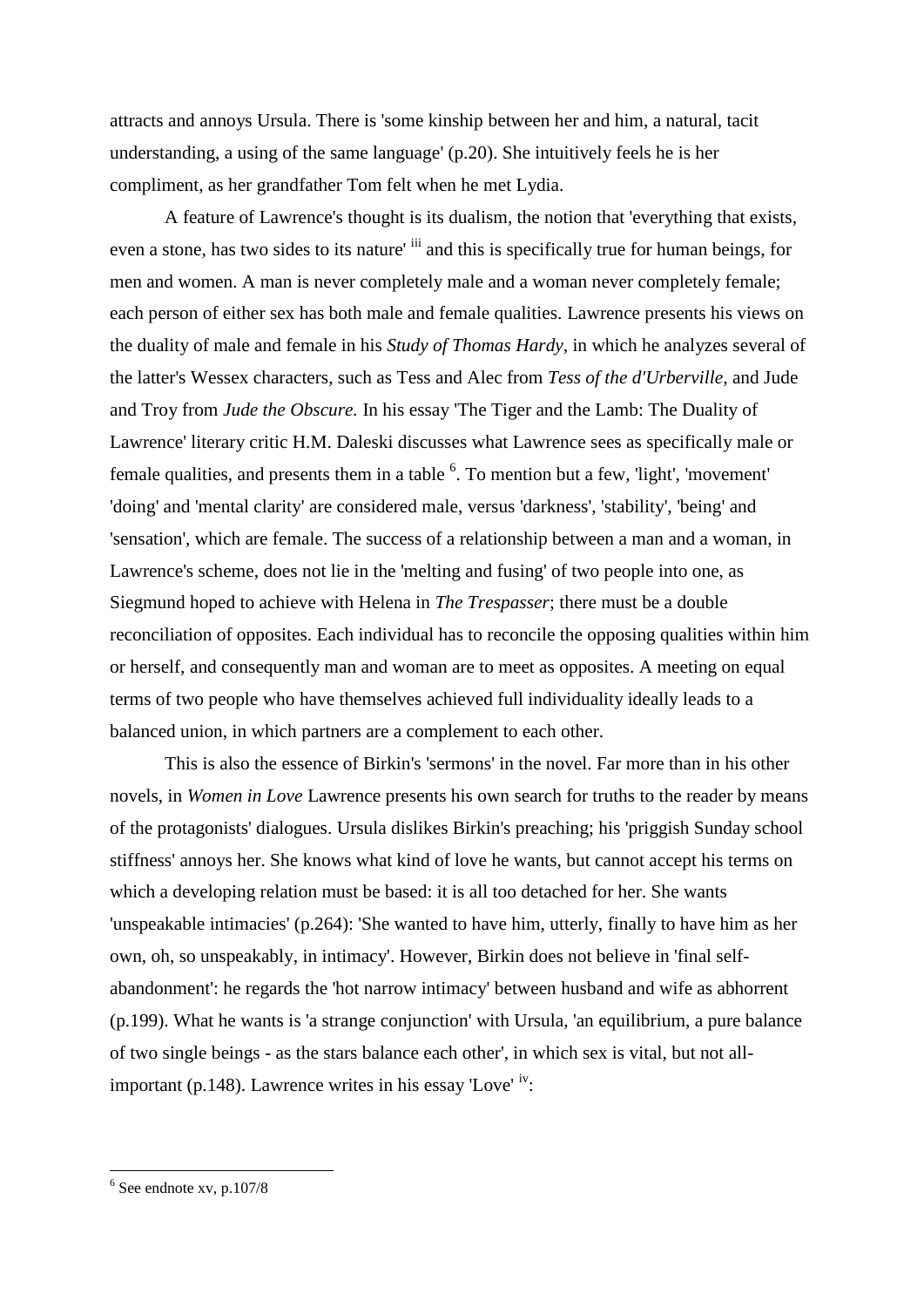attracts and annoys Ursula. There is 'some kinship between her and him, a natural, tacit understanding, a using of the same language' (p.20). She intuitively feels he is her compliment, as her grandfather Tom felt when he met Lydia.

A feature of Lawrence's thought is its dualism, the notion that 'everything that exists, even a stone, has two sides to its nature' iii and this is specifically true for human beings, for men and women. A man is never completely male and a woman never completely female; each person of either sex has both male and female qualities. Lawrence presents his views on the duality of male and female in his *Study of Thomas Hardy,* in which he analyzes several of the latter's Wessex characters, such as Tess and Alec from *Tess of the d'Urberville*, and Jude and Troy from *Jude the Obscure.* In his essay 'The Tiger and the Lamb: The Duality of Lawrence' literary critic H.M. Daleski discusses what Lawrence sees as specifically male or female qualities, and presents them in a table  $6$ . To mention but a few, 'light', 'movement' 'doing' and 'mental clarity' are considered male, versus 'darkness', 'stability', 'being' and 'sensation', which are female. The success of a relationship between a man and a woman, in Lawrence's scheme, does not lie in the 'melting and fusing' of two people into one, as Siegmund hoped to achieve with Helena in *The Trespasser*; there must be a double reconciliation of opposites. Each individual has to reconcile the opposing qualities within him or herself, and consequently man and woman are to meet as opposites. A meeting on equal terms of two people who have themselves achieved full individuality ideally leads to a balanced union, in which partners are a complement to each other.

This is also the essence of Birkin's 'sermons' in the novel. Far more than in his other novels, in *Women in Love* Lawrence presents his own search for truths to the reader by means of the protagonists' dialogues. Ursula dislikes Birkin's preaching; his 'priggish Sunday school stiffness' annoys her. She knows what kind of love he wants, but cannot accept his terms on which a developing relation must be based: it is all too detached for her. She wants 'unspeakable intimacies' (p.264): 'She wanted to have him, utterly, finally to have him as her own, oh, so unspeakably, in intimacy'. However, Birkin does not believe in 'final selfabandonment': he regards the 'hot narrow intimacy' between husband and wife as abhorrent (p.199). What he wants is 'a strange conjunction' with Ursula, 'an equilibrium, a pure balance of two single beings - as the stars balance each other', in which sex is vital, but not allimportant (p.148). Lawrence writes in his essay 'Love' iv:

 $6$  See endnote xv, p.107/8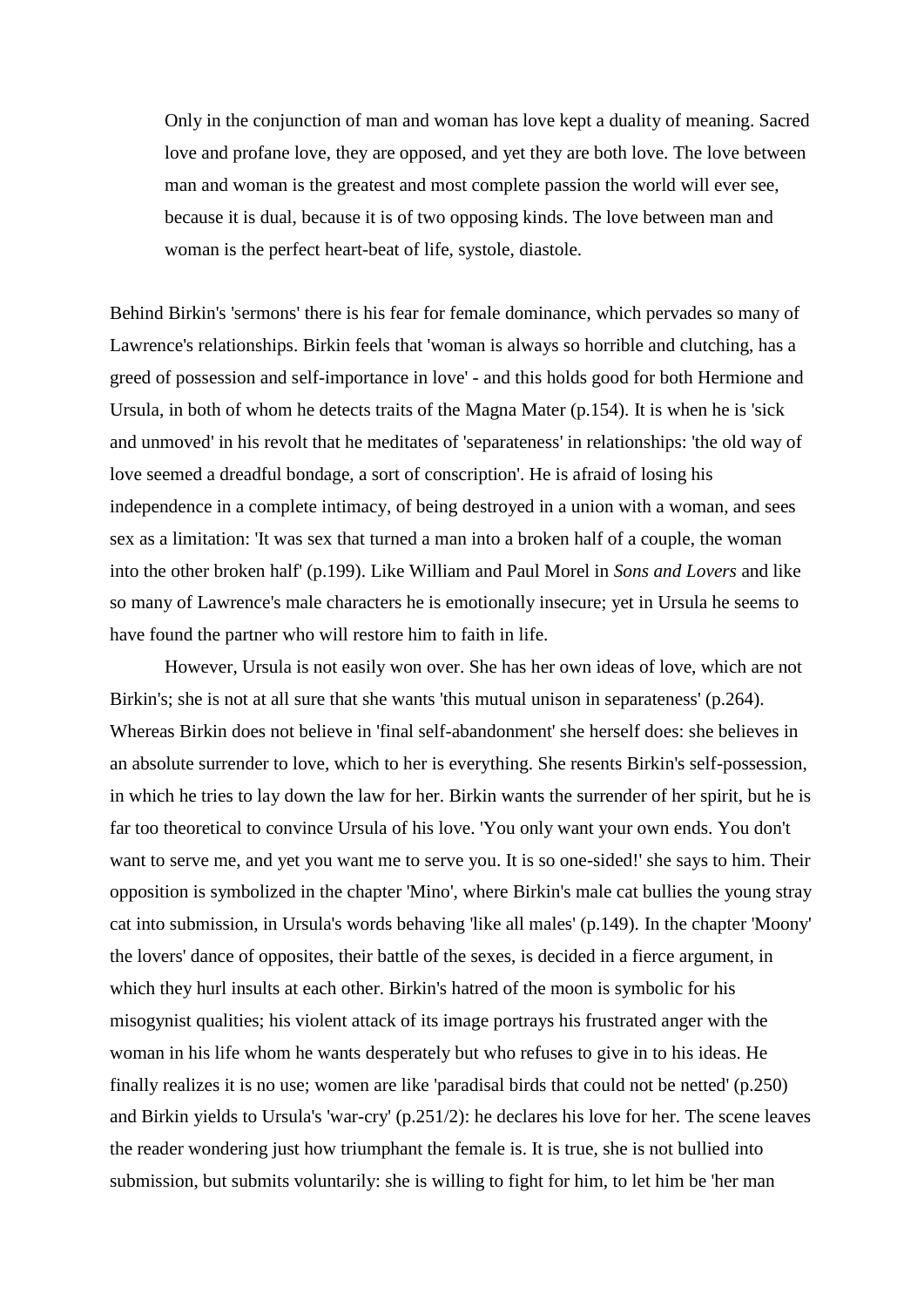Only in the conjunction of man and woman has love kept a duality of meaning. Sacred love and profane love, they are opposed, and yet they are both love. The love between man and woman is the greatest and most complete passion the world will ever see, because it is dual, because it is of two opposing kinds. The love between man and woman is the perfect heart-beat of life, systole, diastole.

Behind Birkin's 'sermons' there is his fear for female dominance, which pervades so many of Lawrence's relationships. Birkin feels that 'woman is always so horrible and clutching, has a greed of possession and self-importance in love' - and this holds good for both Hermione and Ursula, in both of whom he detects traits of the Magna Mater (p.154). It is when he is 'sick and unmoved' in his revolt that he meditates of 'separateness' in relationships: 'the old way of love seemed a dreadful bondage, a sort of conscription'. He is afraid of losing his independence in a complete intimacy, of being destroyed in a union with a woman, and sees sex as a limitation: 'It was sex that turned a man into a broken half of a couple, the woman into the other broken half' (p.199). Like William and Paul Morel in *Sons and Lovers* and like so many of Lawrence's male characters he is emotionally insecure; yet in Ursula he seems to have found the partner who will restore him to faith in life.

However, Ursula is not easily won over. She has her own ideas of love, which are not Birkin's; she is not at all sure that she wants 'this mutual unison in separateness' (p.264). Whereas Birkin does not believe in 'final self-abandonment' she herself does: she believes in an absolute surrender to love, which to her is everything. She resents Birkin's self-possession, in which he tries to lay down the law for her. Birkin wants the surrender of her spirit, but he is far too theoretical to convince Ursula of his love. 'You only want your own ends. You don't want to serve me, and yet you want me to serve you. It is so one-sided!' she says to him. Their opposition is symbolized in the chapter 'Mino', where Birkin's male cat bullies the young stray cat into submission, in Ursula's words behaving 'like all males' (p.149). In the chapter 'Moony' the lovers' dance of opposites, their battle of the sexes, is decided in a fierce argument, in which they hurl insults at each other. Birkin's hatred of the moon is symbolic for his misogynist qualities; his violent attack of its image portrays his frustrated anger with the woman in his life whom he wants desperately but who refuses to give in to his ideas. He finally realizes it is no use; women are like 'paradisal birds that could not be netted' (p.250) and Birkin yields to Ursula's 'war-cry' (p.251/2): he declares his love for her. The scene leaves the reader wondering just how triumphant the female is. It is true, she is not bullied into submission, but submits voluntarily: she is willing to fight for him, to let him be 'her man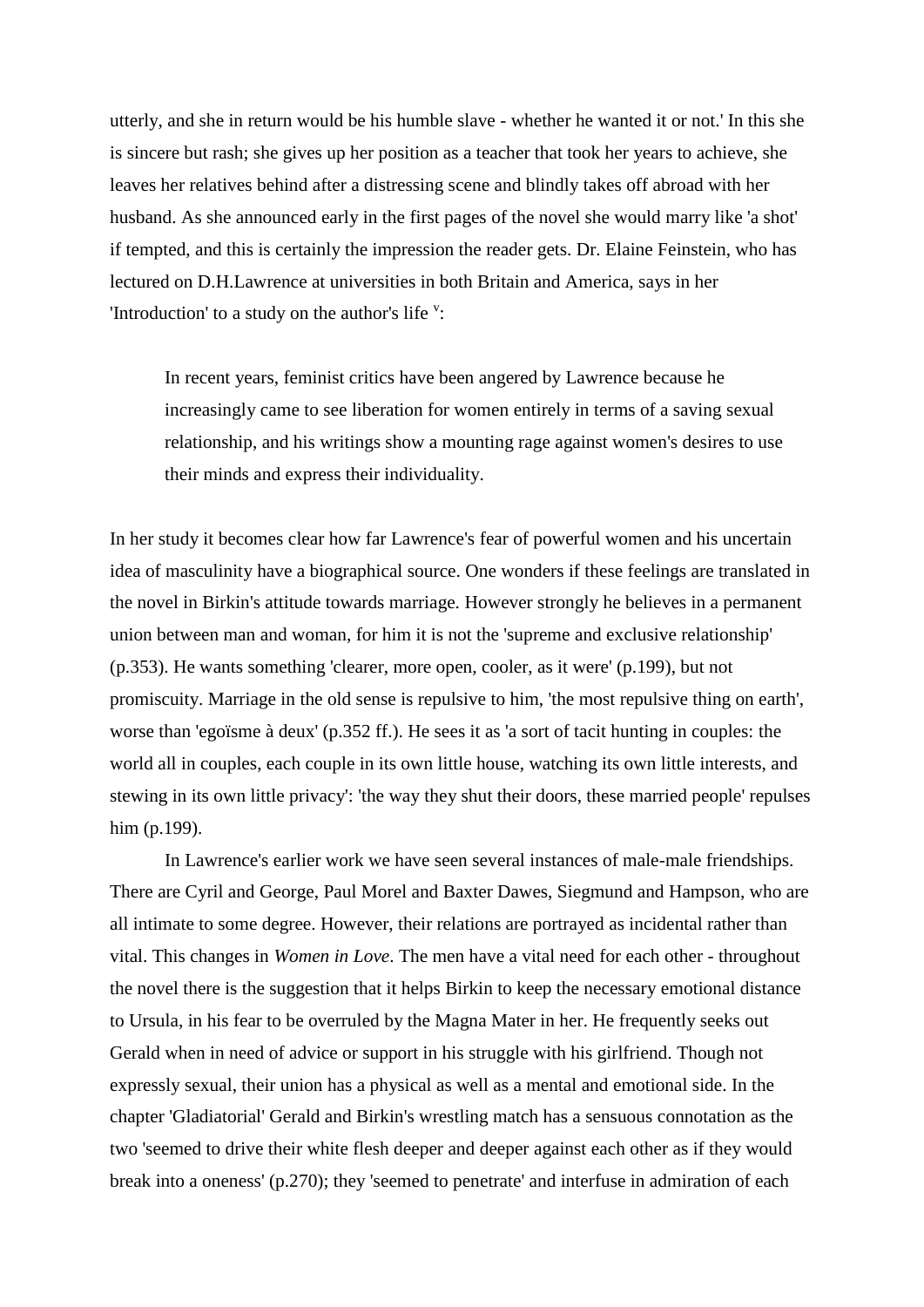utterly, and she in return would be his humble slave - whether he wanted it or not.' In this she is sincere but rash; she gives up her position as a teacher that took her years to achieve, she leaves her relatives behind after a distressing scene and blindly takes off abroad with her husband. As she announced early in the first pages of the novel she would marry like 'a shot' if tempted, and this is certainly the impression the reader gets. Dr. Elaine Feinstein, who has lectured on D.H.Lawrence at universities in both Britain and America, says in her 'Introduction' to a study on the author's life  $\cdot$ .

In recent years, feminist critics have been angered by Lawrence because he increasingly came to see liberation for women entirely in terms of a saving sexual relationship, and his writings show a mounting rage against women's desires to use their minds and express their individuality.

In her study it becomes clear how far Lawrence's fear of powerful women and his uncertain idea of masculinity have a biographical source. One wonders if these feelings are translated in the novel in Birkin's attitude towards marriage. However strongly he believes in a permanent union between man and woman, for him it is not the 'supreme and exclusive relationship' (p.353). He wants something 'clearer, more open, cooler, as it were' (p.199), but not promiscuity. Marriage in the old sense is repulsive to him, 'the most repulsive thing on earth', worse than 'egoïsme à deux' (p.352 ff.). He sees it as 'a sort of tacit hunting in couples: the world all in couples, each couple in its own little house, watching its own little interests, and stewing in its own little privacy': 'the way they shut their doors, these married people' repulses him (p.199).

In Lawrence's earlier work we have seen several instances of male-male friendships. There are Cyril and George, Paul Morel and Baxter Dawes, Siegmund and Hampson, who are all intimate to some degree. However, their relations are portrayed as incidental rather than vital. This changes in *Women in Love*. The men have a vital need for each other - throughout the novel there is the suggestion that it helps Birkin to keep the necessary emotional distance to Ursula, in his fear to be overruled by the Magna Mater in her. He frequently seeks out Gerald when in need of advice or support in his struggle with his girlfriend. Though not expressly sexual, their union has a physical as well as a mental and emotional side. In the chapter 'Gladiatorial' Gerald and Birkin's wrestling match has a sensuous connotation as the two 'seemed to drive their white flesh deeper and deeper against each other as if they would break into a oneness' (p.270); they 'seemed to penetrate' and interfuse in admiration of each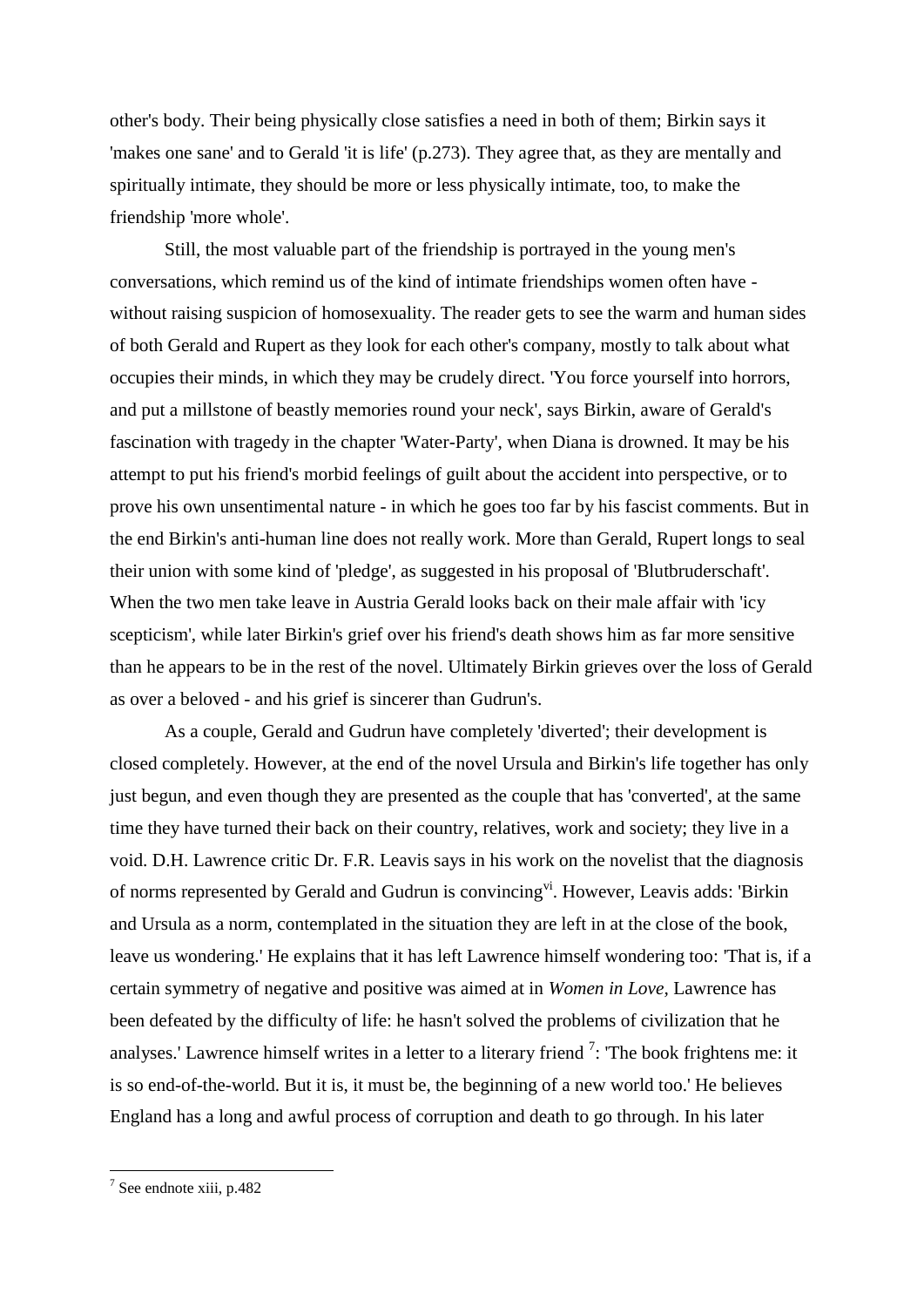other's body. Their being physically close satisfies a need in both of them; Birkin says it 'makes one sane' and to Gerald 'it is life' (p.273). They agree that, as they are mentally and spiritually intimate, they should be more or less physically intimate, too, to make the friendship 'more whole'.

Still, the most valuable part of the friendship is portrayed in the young men's conversations, which remind us of the kind of intimate friendships women often have without raising suspicion of homosexuality. The reader gets to see the warm and human sides of both Gerald and Rupert as they look for each other's company, mostly to talk about what occupies their minds, in which they may be crudely direct. 'You force yourself into horrors, and put a millstone of beastly memories round your neck', says Birkin, aware of Gerald's fascination with tragedy in the chapter 'Water-Party', when Diana is drowned. It may be his attempt to put his friend's morbid feelings of guilt about the accident into perspective, or to prove his own unsentimental nature - in which he goes too far by his fascist comments. But in the end Birkin's anti-human line does not really work. More than Gerald, Rupert longs to seal their union with some kind of 'pledge', as suggested in his proposal of 'Blutbruderschaft'. When the two men take leave in Austria Gerald looks back on their male affair with 'icy scepticism', while later Birkin's grief over his friend's death shows him as far more sensitive than he appears to be in the rest of the novel. Ultimately Birkin grieves over the loss of Gerald as over a beloved - and his grief is sincerer than Gudrun's.

As a couple, Gerald and Gudrun have completely 'diverted'; their development is closed completely. However, at the end of the novel Ursula and Birkin's life together has only just begun, and even though they are presented as the couple that has 'converted', at the same time they have turned their back on their country, relatives, work and society; they live in a void. D.H. Lawrence critic Dr. F.R. Leavis says in his work on the novelist that the diagnosis of norms represented by Gerald and Gudrun is convincing<sup>vi</sup>. However, Leavis adds: 'Birkin and Ursula as a norm, contemplated in the situation they are left in at the close of the book, leave us wondering.' He explains that it has left Lawrence himself wondering too: 'That is, if a certain symmetry of negative and positive was aimed at in *Women in Love,* Lawrence has been defeated by the difficulty of life: he hasn't solved the problems of civilization that he analyses.' Lawrence himself writes in a letter to a literary friend  $\frac{7}{1}$ : 'The book frightens me: it is so end-of-the-world. But it is, it must be, the beginning of a new world too.' He believes England has a long and awful process of corruption and death to go through. In his later

 $7$  See endnote xiii, p.482